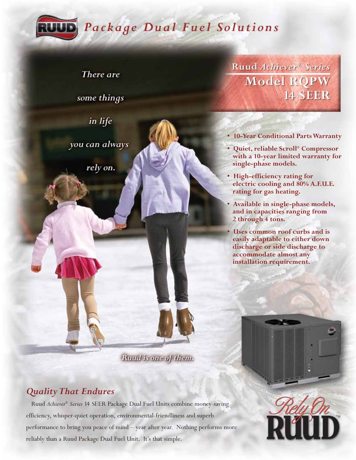

# Package Dual Fuel Solutions

There are

some things

in life

you can always

rely on.

Ruud Achiever<sup>®</sup> Series **Model ROPW 14 SEER** 

- **10-Year Conditional Parts Warranty**
- **Quiet, reliable Scroll® Compressor with a 10-year limited warranty for single-phase models.**
- **High-efficiency rating for electric cooling and 80% A.F.U.E. rating for gas heating.**
- **Available in single-phase models, and in capacities ranging from 2 through 4 tons.**
- **Uses common roof curbs and is easily adaptable to either down discharge or side discharge to accommodate almost any installation requirement.**

Rand is one of them.

# *Quality That Endures*

Ruud *Achiever® Series* 14 SEER Package Dual Fuel Units combine money-saving efficiency, whisper-quiet operation, environmental-friendliness and superb performance to bring you peace of mind – year after year. Nothing performs more reliably than a Ruud Package Dual Fuel Unit. It's that simple.